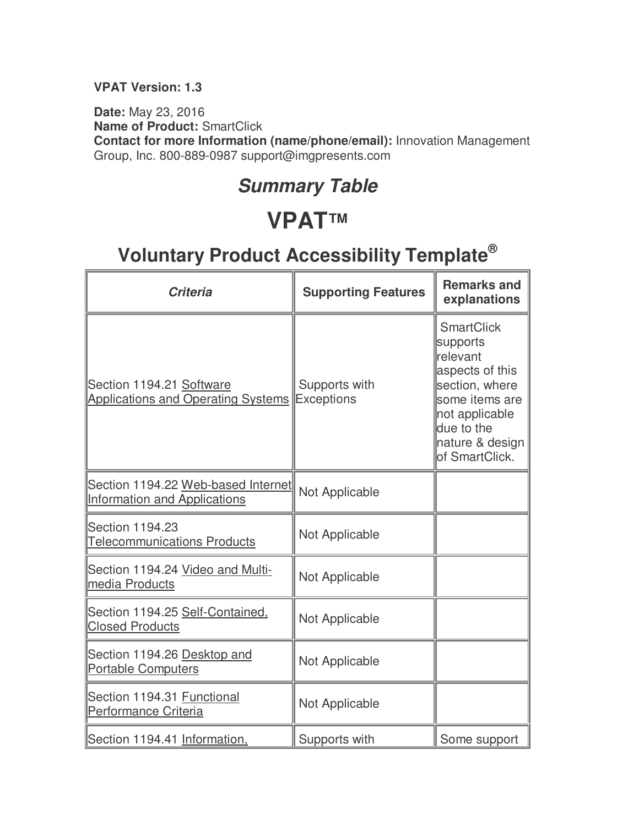#### **VPAT Version: 1.3**

**Date:** May 23, 2016 **Name of Product:** SmartClick **Contact for more Information (name/phone/email):** Innovation Management Group, Inc. 800-889-0987 support@imgpresents.com

### **Summary Table**

### **VPAT™**

| <b>Criteria</b>                                                           | <b>Supporting Features</b>         | <b>Remarks and</b><br>explanations                                                                                                                                    |
|---------------------------------------------------------------------------|------------------------------------|-----------------------------------------------------------------------------------------------------------------------------------------------------------------------|
| Section 1194.21 Software<br><b>Applications and Operating Systems</b>     | Supports with<br><b>Exceptions</b> | <b>SmartClick</b><br>supports<br>relevant<br>aspects of this<br>section, where<br>some items are<br>not applicable<br>due to the<br>nature & design<br>of SmartClick. |
| Section 1194.22 Web-based Internet<br><b>Information and Applications</b> | Not Applicable                     |                                                                                                                                                                       |
| Section 1194.23<br><b>Telecommunications Products</b>                     | Not Applicable                     |                                                                                                                                                                       |
| Section 1194.24 Video and Multi-<br>media Products                        | Not Applicable                     |                                                                                                                                                                       |
| Section 1194.25 Self-Contained,<br><b>Closed Products</b>                 | Not Applicable                     |                                                                                                                                                                       |
| Section 1194.26 Desktop and<br><b>Portable Computers</b>                  | Not Applicable                     |                                                                                                                                                                       |
| Section 1194.31 Functional<br>Performance Criteria                        | Not Applicable                     |                                                                                                                                                                       |
| Section 1194.41 Information,                                              | Supports with                      | Some support                                                                                                                                                          |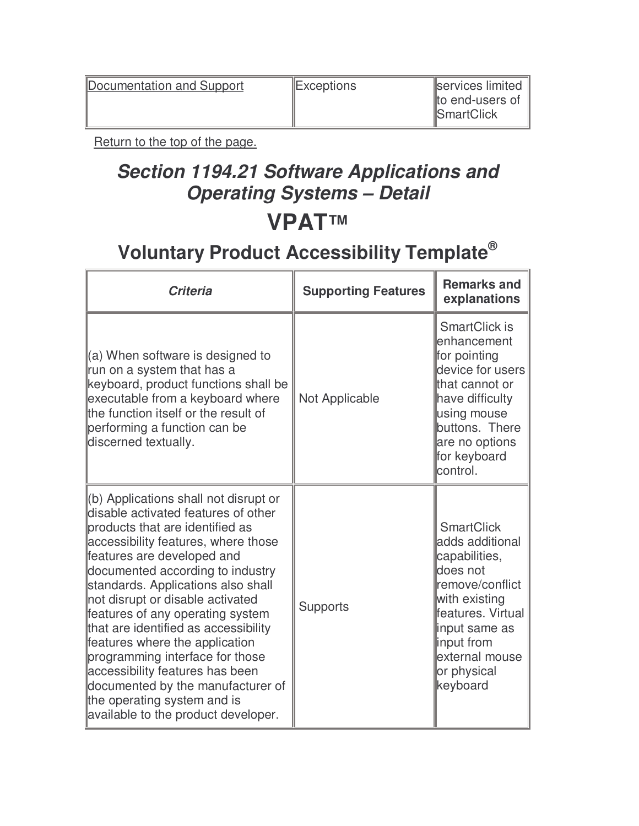Documentation and Support Exceptions Exceptions Services limited

Return to the top of the page.

### **Section 1194.21 Software Applications and Operating Systems – Detail VPAT™**

| <b>Criteria</b>                                                                                                                                                                                                                                                                                                                                                                                                                                                                                                                                                                                   | <b>Supporting Features</b> | <b>Remarks and</b><br>explanations                                                                                                                                                                     |
|---------------------------------------------------------------------------------------------------------------------------------------------------------------------------------------------------------------------------------------------------------------------------------------------------------------------------------------------------------------------------------------------------------------------------------------------------------------------------------------------------------------------------------------------------------------------------------------------------|----------------------------|--------------------------------------------------------------------------------------------------------------------------------------------------------------------------------------------------------|
| $(a)$ When software is designed to<br>run on a system that has a<br>keyboard, product functions shall be<br>executable from a keyboard where<br>the function itself or the result of<br>performing a function can be<br>discerned textually.                                                                                                                                                                                                                                                                                                                                                      | Not Applicable             | SmartClick is<br>enhancement<br>for pointing<br>device for users<br>that cannot or<br>have difficulty<br>using mouse<br>buttons. There<br>are no options<br>for keyboard<br>control.                   |
| (b) Applications shall not disrupt or<br>disable activated features of other<br>products that are identified as<br>accessibility features, where those<br>features are developed and<br>documented according to industry<br>standards. Applications also shall<br>not disrupt or disable activated<br>features of any operating system<br>that are identified as accessibility<br>features where the application<br>programming interface for those<br>accessibility features has been<br>documented by the manufacturer of<br>the operating system and is<br>available to the product developer. | <b>Supports</b>            | <b>SmartClick</b><br>adds additional<br>capabilities,<br>does not<br>remove/conflict<br>with existing<br>features. Virtual<br>input same as<br>input from<br>external mouse<br>or physical<br>keyboard |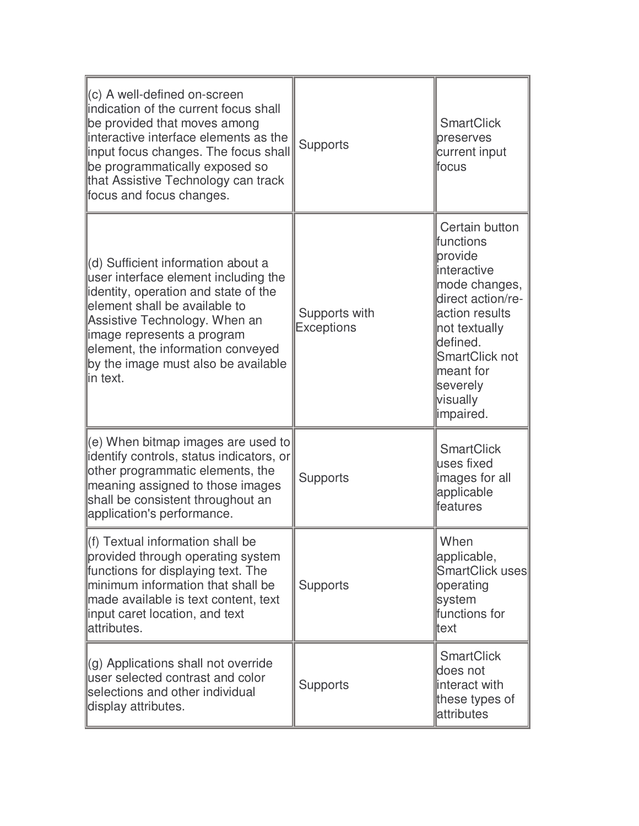| $\ $ (c) A well-defined on-screen<br>indication of the current focus shall<br>be provided that moves among<br>interactive interface elements as the<br>linput focus changes. The focus shall<br>be programmatically exposed so<br>that Assistive Technology can track<br>focus and focus changes.             | <b>Supports</b>                    | <b>SmartClick</b><br>preserves<br>current input<br>lfocus                                                                                                                                                        |
|---------------------------------------------------------------------------------------------------------------------------------------------------------------------------------------------------------------------------------------------------------------------------------------------------------------|------------------------------------|------------------------------------------------------------------------------------------------------------------------------------------------------------------------------------------------------------------|
| (d) Sufficient information about a<br>user interface element including the<br>lidentity, operation and state of the<br>element shall be available to<br>Assistive Technology. When an<br>limage represents a program<br>element, the information conveyed<br>by the image must also be available<br>lin text. | Supports with<br><b>Exceptions</b> | Certain button<br>lfunctions<br>provide<br>linteractive<br>mode changes,<br>direct action/re-<br>action results<br>not textually<br>defined.<br>SmartClick not<br>meant for<br>severely<br>visually<br>impaired. |
| $\parallel$ (e) When bitmap images are used to<br>lidentify controls, status indicators, or<br>other programmatic elements, the<br>meaning assigned to those images<br>shall be consistent throughout an<br>application's performance.                                                                        | <b>Supports</b>                    | <b>SmartClick</b><br>uses fixed<br>images for all<br>applicable<br>lfeatures                                                                                                                                     |
| $\parallel$ (f) Textual information shall be<br>provided through operating system<br>functions for displaying text. The<br>minimum information that shall be<br>made available is text content, text<br>linput caret location, and text<br>lattributes.                                                       | <b>Supports</b>                    | When<br>applicable,<br>SmartClick uses<br>operating<br>system<br>functions for<br>ltext                                                                                                                          |
| $\parallel$ (g) Applications shall not override<br>user selected contrast and color<br>selections and other individual<br>display attributes.                                                                                                                                                                 | <b>Supports</b>                    | <b>SmartClick</b><br>does not<br>interact with<br>these types of<br>attributes                                                                                                                                   |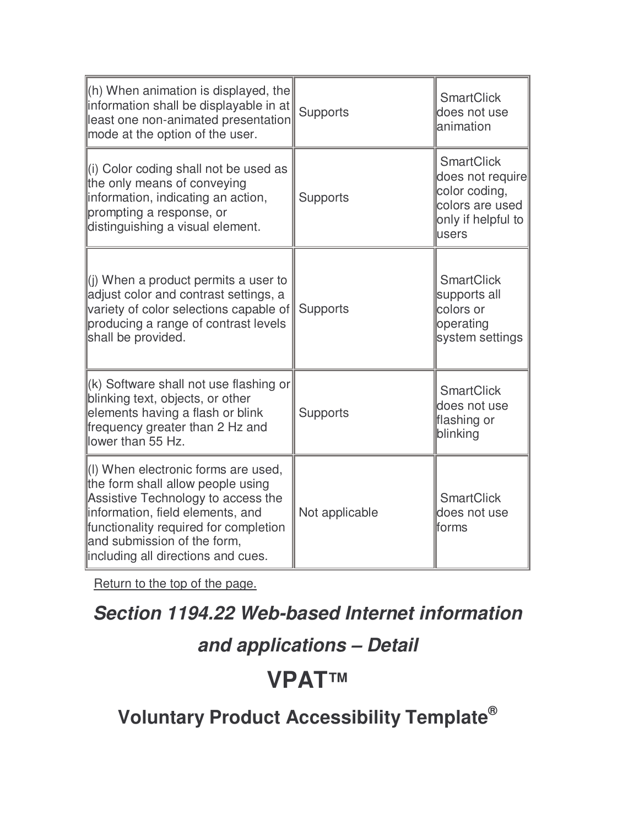| $\ $ (h) When animation is displayed, the<br>information shall be displayable in at<br>least one non-animated presentation<br>mode at the option of the user.                                                                                                     | <b>Supports</b> | <b>SmartClick</b><br>does not use<br>lanimation                                                          |
|-------------------------------------------------------------------------------------------------------------------------------------------------------------------------------------------------------------------------------------------------------------------|-----------------|----------------------------------------------------------------------------------------------------------|
| (i) Color coding shall not be used as<br>the only means of conveying<br>information, indicating an action,<br>prompting a response, or<br>distinguishing a visual element.                                                                                        | <b>Supports</b> | <b>SmartClick</b><br>does not require<br>color coding,<br>colors are used<br>only if helpful to<br>users |
| $\parallel$ (i) When a product permits a user to<br>adjust color and contrast settings, a<br>variety of color selections capable of<br>producing a range of contrast levels<br>shall be provided.                                                                 | <b>Supports</b> | <b>SmartClick</b><br>supports all<br>colors or<br>operating<br>system settings                           |
| $\parallel$ (k) Software shall not use flashing or<br>blinking text, objects, or other<br>elements having a flash or blink<br>frequency greater than 2 Hz and<br>llower than 55 Hz.                                                                               | <b>Supports</b> | <b>SmartClick</b><br>does not use<br>flashing or<br>blinking                                             |
| (I) When electronic forms are used,<br>the form shall allow people using<br>Assistive Technology to access the<br>information, field elements, and<br>functionality required for completion<br>and submission of the form,<br>lincluding all directions and cues. | Not applicable  | <b>SmartClick</b><br>does not use<br>lforms                                                              |

# **Section 1194.22 Web-based Internet information**

#### **and applications – Detail**

# **VPAT™**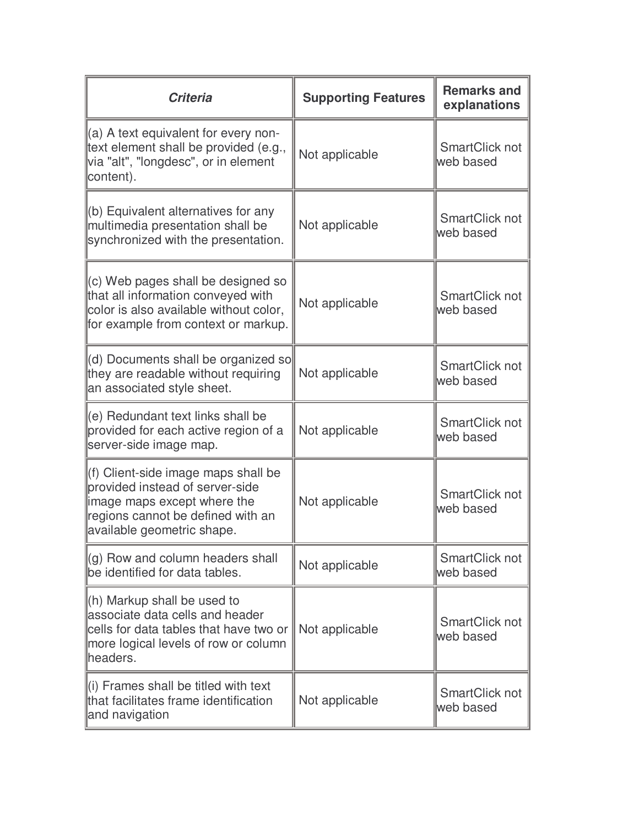| <b>Criteria</b>                                                                                                                                                           | <b>Supporting Features</b> | <b>Remarks and</b><br>explanations |
|---------------------------------------------------------------------------------------------------------------------------------------------------------------------------|----------------------------|------------------------------------|
| $\parallel$ (a) A text equivalent for every non-<br>text element shall be provided (e.g.,<br>via "alt", "longdesc", or in element<br>content).                            | Not applicable             | SmartClick not<br>web based        |
| $\parallel$ (b) Equivalent alternatives for any<br>multimedia presentation shall be<br>synchronized with the presentation.                                                | Not applicable             | SmartClick not<br>web based        |
| $\parallel$ (c) Web pages shall be designed so<br>that all information conveyed with<br>color is also available without color,<br>for example from context or markup.     | Not applicable             | SmartClick not<br>web based        |
| (d) Documents shall be organized so<br>they are readable without requiring<br>an associated style sheet.                                                                  | Not applicable             | SmartClick not<br>web based        |
| ce) Redundant text links shall be<br>provided for each active region of a<br>server-side image map.                                                                       | Not applicable             | SmartClick not<br>web based        |
| (f) Client-side image maps shall be<br>provided instead of server-side<br>limage maps except where the<br>regions cannot be defined with an<br>available geometric shape. | Not applicable             | SmartClick not<br>web based        |
| $\parallel$ (g) Row and column headers shall<br>be identified for data tables.                                                                                            | Not applicable             | SmartClick not<br>web based        |
| $\ $ (h) Markup shall be used to<br>lassociate data cells and header<br>cells for data tables that have two or<br>more logical levels of row or column<br>lheaders.       | Not applicable             | SmartClick not<br>web based        |
| $\parallel$ (i) Frames shall be titled with text<br>that facilitates frame identification<br>and navigation                                                               | Not applicable             | SmartClick not<br>web based        |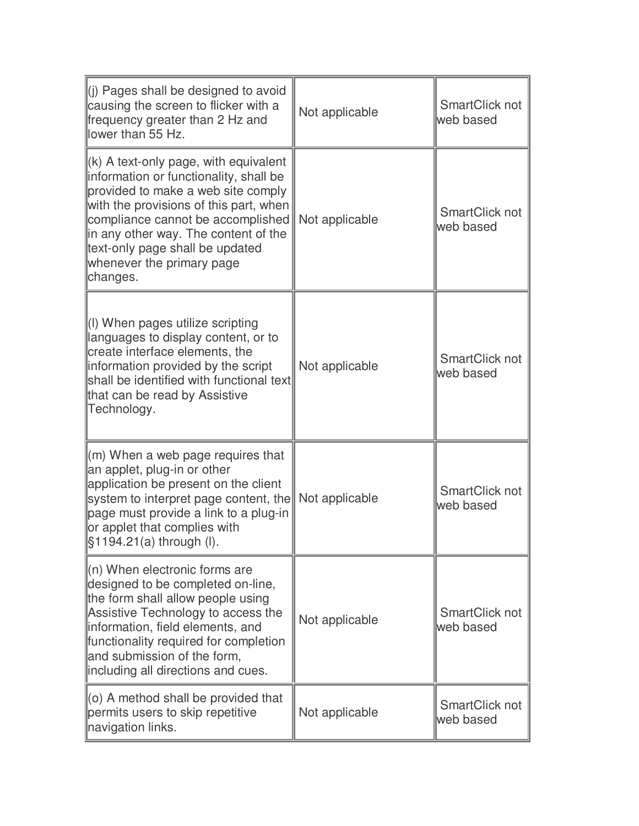| (i) Pages shall be designed to avoid<br>causing the screen to flicker with a<br>frequency greater than 2 Hz and<br>llower than 55 Hz.                                                                                                                                                                                                | Not applicable | SmartClick not<br>web based |
|--------------------------------------------------------------------------------------------------------------------------------------------------------------------------------------------------------------------------------------------------------------------------------------------------------------------------------------|----------------|-----------------------------|
| $\parallel$ (k) A text-only page, with equivalent<br>information or functionality, shall be<br>provided to make a web site comply<br>with the provisions of this part, when<br>compliance cannot be accomplished<br>in any other way. The content of the<br>text-only page shall be updated<br>whenever the primary page<br>changes. | Not applicable | SmartClick not<br>web based |
| $\parallel$ (I) When pages utilize scripting<br>languages to display content, or to<br>create interface elements, the<br>information provided by the script<br>shall be identified with functional text<br>that can be read by Assistive<br>Technology.                                                                              | Not applicable | SmartClick not<br>web based |
| $\mathsf{m}$ ) When a web page requires that<br>an applet, plug-in or other<br>application be present on the client<br>system to interpret page content, the<br>page must provide a link to a plug-in<br>or applet that complies with<br> §1194.21(a) through (l).                                                                   | Not applicable | SmartClick not<br>web based |
| $\ $ (n) When electronic forms are<br>designed to be completed on-line,<br>the form shall allow people using<br>Assistive Technology to access the<br>information, field elements, and<br>functionality required for completion<br>and submission of the form,<br>including all directions and cues.                                 | Not applicable | SmartClick not<br>web based |
| $\parallel$ (o) A method shall be provided that<br>permits users to skip repetitive<br>navigation links.                                                                                                                                                                                                                             | Not applicable | SmartClick not<br>web based |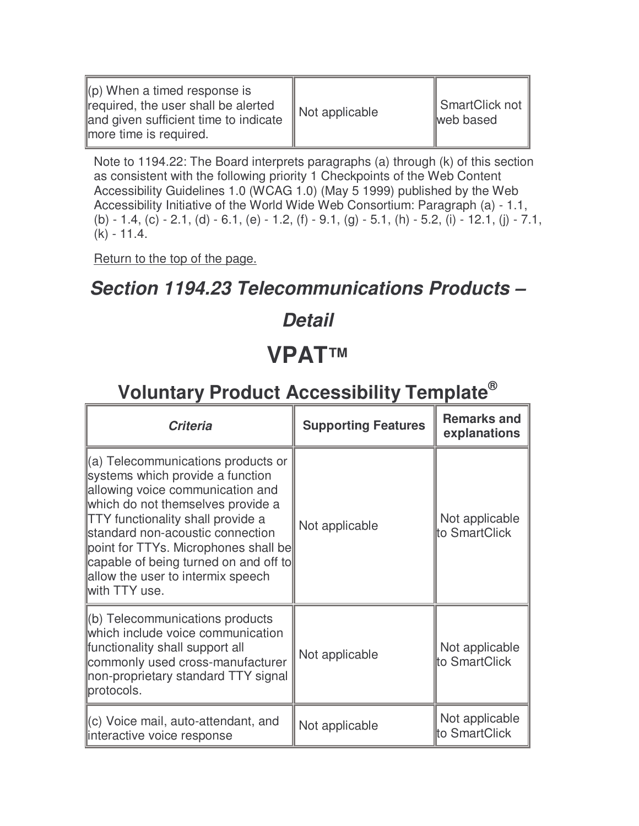| $\parallel$ (p) When a timed response is<br>required, the user shall be alerted<br>and given sufficient time to indicate<br>more time is required. | $\parallel$ Not applicable | $\parallel$ SmartClick not $\parallel$<br>web based |
|----------------------------------------------------------------------------------------------------------------------------------------------------|----------------------------|-----------------------------------------------------|
|----------------------------------------------------------------------------------------------------------------------------------------------------|----------------------------|-----------------------------------------------------|

Note to 1194.22: The Board interprets paragraphs (a) through (k) of this section as consistent with the following priority 1 Checkpoints of the Web Content Accessibility Guidelines 1.0 (WCAG 1.0) (May 5 1999) published by the Web Accessibility Initiative of the World Wide Web Consortium: Paragraph (a) - 1.1, (b) - 1.4, (c) - 2.1, (d) - 6.1, (e) - 1.2, (f) - 9.1, (g) - 5.1, (h) - 5.2, (i) - 12.1, (j) - 7.1, (k) - 11.4.

Return to the top of the page.

#### **Section 1194.23 Telecommunications Products –**

# **Detail**

### **VPAT™**

| <b>Criteria</b>                                                                                                                                                                                                                                                                                                                                                                    | <b>Supporting Features</b> | <b>Remarks and</b><br>explanations |
|------------------------------------------------------------------------------------------------------------------------------------------------------------------------------------------------------------------------------------------------------------------------------------------------------------------------------------------------------------------------------------|----------------------------|------------------------------------|
| $\parallel$ (a) Telecommunications products or<br>systems which provide a function<br>allowing voice communication and<br>which do not themselves provide a<br><b>TTY</b> functionality shall provide a<br>standard non-acoustic connection<br>point for TTYs. Microphones shall be<br>capable of being turned on and off to<br>allow the user to intermix speech<br>with TTY use. | Not applicable             | Not applicable<br>to SmartClick    |
| (b) Telecommunications products<br>which include voice communication<br>functionality shall support all<br>commonly used cross-manufacturer<br>non-proprietary standard TTY signal<br>protocols.                                                                                                                                                                                   | Not applicable             | Not applicable<br>to SmartClick    |
| (c) Voice mail, auto-attendant, and<br>linteractive voice response                                                                                                                                                                                                                                                                                                                 | Not applicable             | Not applicable<br>to SmartClick    |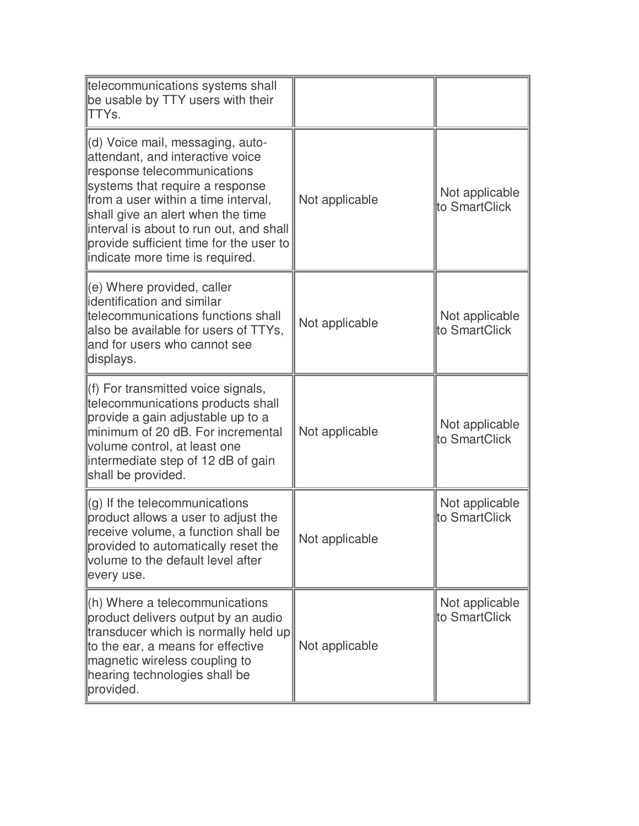| telecommunications systems shall<br>be usable by TTY users with their<br>TTYs.                                                                                                                                                                                                                                                              |                |                                 |
|---------------------------------------------------------------------------------------------------------------------------------------------------------------------------------------------------------------------------------------------------------------------------------------------------------------------------------------------|----------------|---------------------------------|
| (d) Voice mail, messaging, auto-<br>attendant, and interactive voice<br>response telecommunications<br>systems that require a response<br>from a user within a time interval,<br>shall give an alert when the time<br>interval is about to run out, and shall<br>provide sufficient time for the user to<br>indicate more time is required. | Not applicable | Not applicable<br>to SmartClick |
| (e) Where provided, caller<br>identification and similar<br>telecommunications functions shall<br>also be available for users of TTYs,<br>and for users who cannot see<br>displays.                                                                                                                                                         | Not applicable | Not applicable<br>to SmartClick |
| (f) For transmitted voice signals,<br>telecommunications products shall<br>provide a gain adjustable up to a<br>minimum of 20 dB. For incremental<br>volume control, at least one<br>intermediate step of 12 dB of gain<br>shall be provided.                                                                                               | Not applicable | Not applicable<br>to SmartClick |
| $(q)$ If the telecommunications<br>product allows a user to adjust the<br>receive volume, a function shall be<br>provided to automatically reset the<br>volume to the default level after<br>every use.                                                                                                                                     | Not applicable | Not applicable<br>to SmartClick |
| (h) Where a telecommunications<br>product delivers output by an audio<br>transducer which is normally held up<br>to the ear, a means for effective<br>magnetic wireless coupling to<br>hearing technologies shall be<br>provided.                                                                                                           | Not applicable | Not applicable<br>to SmartClick |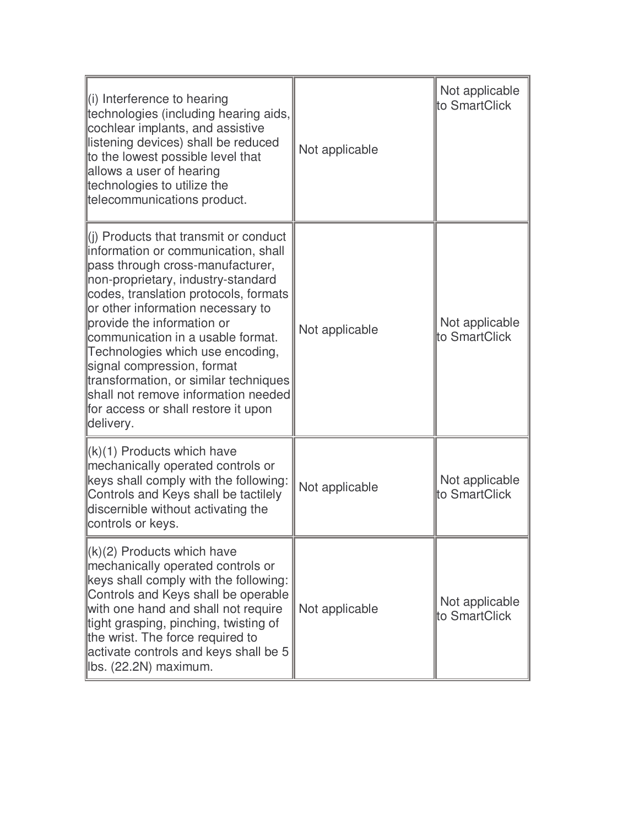| $\parallel$ (i) Interference to hearing<br>technologies (including hearing aids,<br>cochlear implants, and assistive<br>listening devices) shall be reduced<br>to the lowest possible level that<br>allows a user of hearing<br>technologies to utilize the<br>telecommunications product.                                                                                                                                                                                                                    | Not applicable | Not applicable<br>to SmartClick |
|---------------------------------------------------------------------------------------------------------------------------------------------------------------------------------------------------------------------------------------------------------------------------------------------------------------------------------------------------------------------------------------------------------------------------------------------------------------------------------------------------------------|----------------|---------------------------------|
| (i) Products that transmit or conduct<br>information or communication, shall<br>pass through cross-manufacturer,<br>non-proprietary, industry-standard<br>codes, translation protocols, formats<br>or other information necessary to<br>provide the information or<br>communication in a usable format.<br>Technologies which use encoding,<br>signal compression, format<br>transformation, or similar techniques<br>shall not remove information needed<br>for access or shall restore it upon<br>delivery. | Not applicable | Not applicable<br>to SmartClick |
| (k)(1) Products which have<br>mechanically operated controls or<br>keys shall comply with the following:<br>Controls and Keys shall be tactilely<br>discernible without activating the<br>controls or keys.                                                                                                                                                                                                                                                                                                   | Not applicable | Not applicable<br>to SmartClick |
| $\ $ (k)(2) Products which have<br>mechanically operated controls or<br>keys shall comply with the following:<br>Controls and Keys shall be operable<br>with one hand and shall not require<br>tight grasping, pinching, twisting of<br>the wrist. The force required to<br>activate controls and keys shall be 5<br>lbs. (22.2N) maximum.                                                                                                                                                                    | Not applicable | Not applicable<br>to SmartClick |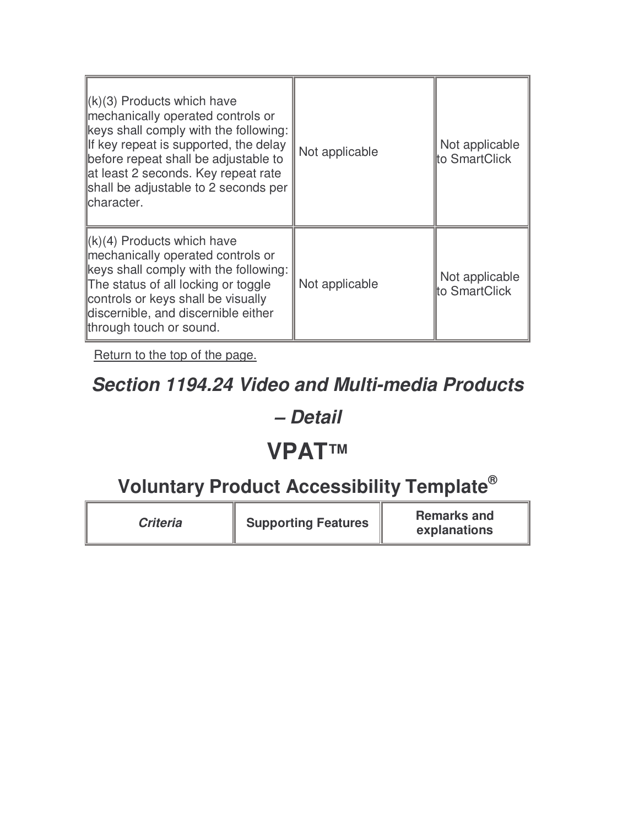| $\ (k)(3)$ Products which have<br>mechanically operated controls or<br>keys shall comply with the following:<br>If key repeat is supported, the delay<br>before repeat shall be adjustable to<br>at least 2 seconds. Key repeat rate<br>shall be adjustable to 2 seconds per<br>lcharacter. | Not applicable | Not applicable<br>to SmartClick |
|---------------------------------------------------------------------------------------------------------------------------------------------------------------------------------------------------------------------------------------------------------------------------------------------|----------------|---------------------------------|
| $\ (k)(4)$ Products which have<br>mechanically operated controls or<br>keys shall comply with the following:<br>The status of all locking or toggle<br>controls or keys shall be visually<br>discernible, and discernible either<br>through touch or sound.                                 | Not applicable | Not applicable<br>to SmartClick |

#### **Section 1194.24 Video and Multi-media Products**

#### **– Detail**

### **VPAT™**

| <b>Criteria</b> | <b>Supporting Features</b> | <b>Remarks and</b><br>explanations |
|-----------------|----------------------------|------------------------------------|
|-----------------|----------------------------|------------------------------------|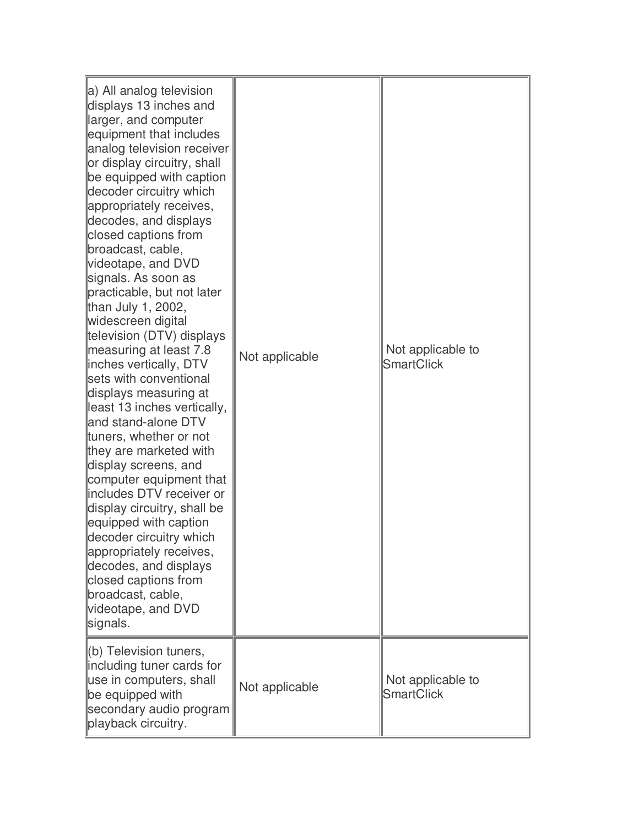| a) All analog television<br>displays 13 inches and<br>larger, and computer<br>equipment that includes<br>analog television receiver<br>or display circuitry, shall<br>be equipped with caption<br>decoder circuitry which<br>appropriately receives,<br>decodes, and displays<br>closed captions from<br>broadcast, cable,<br>videotape, and DVD<br>signals. As soon as<br>practicable, but not later<br>than July 1, 2002,<br>widescreen digital<br>television (DTV) displays<br>measuring at least 7.8<br>inches vertically, DTV<br>sets with conventional<br>displays measuring at<br>least 13 inches vertically,<br>and stand-alone DTV<br>tuners, whether or not<br>they are marketed with<br>display screens, and<br>computer equipment that<br>includes DTV receiver or<br>display circuitry, shall be<br>equipped with caption<br>decoder circuitry which<br>appropriately receives,<br>decodes, and displays<br>closed captions from<br>broadcast, cable,<br>videotape, and DVD<br>signals. | Not applicable | Not applicable to<br><b>SmartClick</b> |
|------------------------------------------------------------------------------------------------------------------------------------------------------------------------------------------------------------------------------------------------------------------------------------------------------------------------------------------------------------------------------------------------------------------------------------------------------------------------------------------------------------------------------------------------------------------------------------------------------------------------------------------------------------------------------------------------------------------------------------------------------------------------------------------------------------------------------------------------------------------------------------------------------------------------------------------------------------------------------------------------------|----------------|----------------------------------------|
| (b) Television tuners,<br>including tuner cards for<br>use in computers, shall<br>be equipped with<br>secondary audio program<br>playback circuitry.                                                                                                                                                                                                                                                                                                                                                                                                                                                                                                                                                                                                                                                                                                                                                                                                                                                 | Not applicable | Not applicable to<br><b>SmartClick</b> |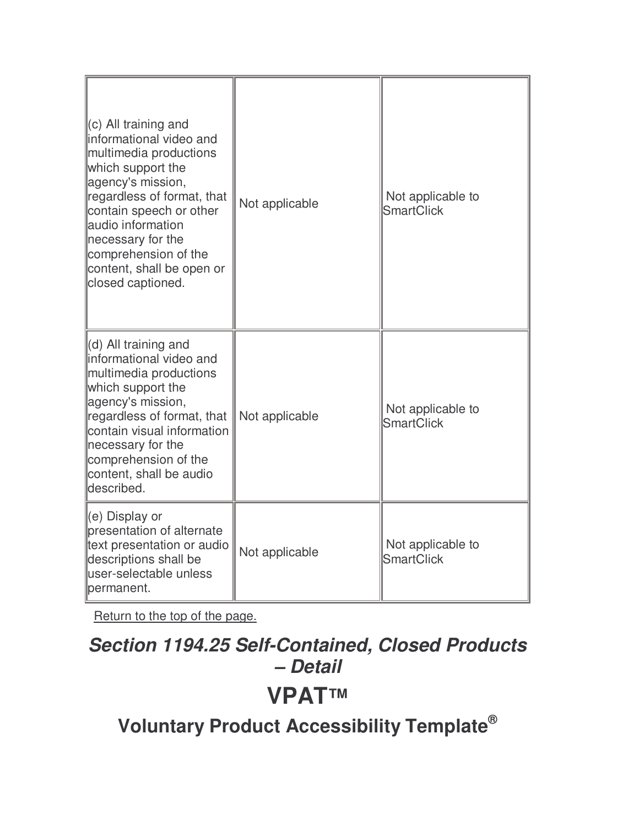| $(c)$ All training and<br>informational video and<br>multimedia productions<br>which support the<br>agency's mission,<br>regardless of format, that<br>contain speech or other<br>audio information<br>necessary for the<br>comprehension of the<br>content, shall be open or<br>closed captioned. | Not applicable | Not applicable to<br><b>SmartClick</b> |
|----------------------------------------------------------------------------------------------------------------------------------------------------------------------------------------------------------------------------------------------------------------------------------------------------|----------------|----------------------------------------|
| (d) All training and<br>informational video and<br>multimedia productions<br>which support the<br>agency's mission,<br>regardless of format, that<br>contain visual information<br>necessary for the<br>comprehension of the<br>content, shall be audio<br>ldescribed.                             | Not applicable | Not applicable to<br><b>SmartClick</b> |
| (e) Display or<br>presentation of alternate<br>text presentation or audio<br>descriptions shall be<br>user-selectable unless<br>permanent.                                                                                                                                                         | Not applicable | Not applicable to<br><b>SmartClick</b> |

# **Section 1194.25 Self-Contained, Closed Products – Detail VPAT™**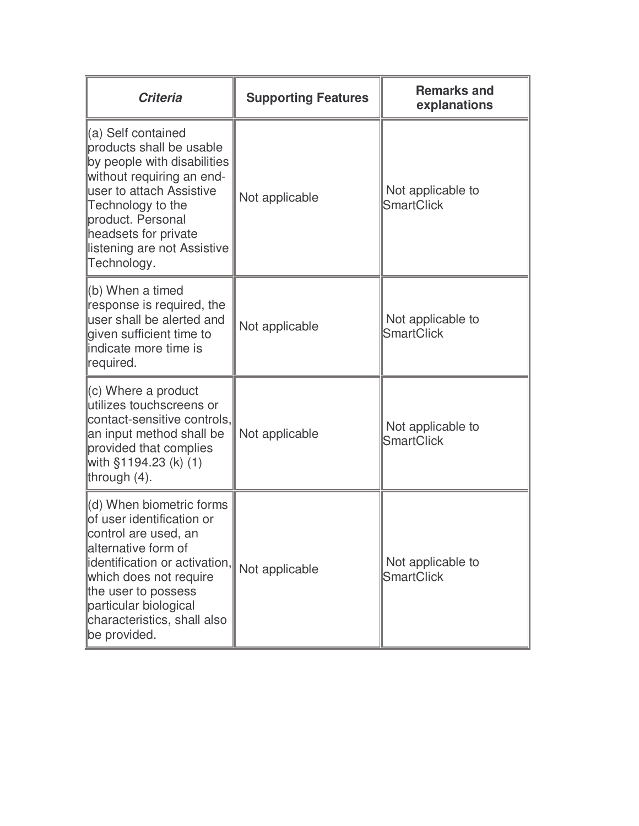| <b>Criteria</b>                                                                                                                                                                                                                                                | <b>Supporting Features</b> | <b>Remarks and</b><br>explanations     |
|----------------------------------------------------------------------------------------------------------------------------------------------------------------------------------------------------------------------------------------------------------------|----------------------------|----------------------------------------|
| (a) Self contained<br>products shall be usable<br>by people with disabilities<br>without requiring an end-<br>luser to attach Assistive<br>Technology to the<br>product. Personal<br>headsets for private<br>listening are not Assistive<br>Technology.        | Not applicable             | Not applicable to<br><b>SmartClick</b> |
| (b) When a timed<br>response is required, the<br>user shall be alerted and<br>given sufficient time to<br>lindicate more time is<br>required.                                                                                                                  | Not applicable             | Not applicable to<br><b>SmartClick</b> |
| (c) Where a product<br>utilizes touchscreens or<br>contact-sensitive controls,<br>an input method shall be<br>provided that complies<br>with §1194.23 (k) (1)<br>through (4).                                                                                  | Not applicable             | Not applicable to<br><b>SmartClick</b> |
| (d) When biometric forms<br>of user identification or<br>control are used, an<br>alternative form of<br>identification or activation,<br>which does not require<br>the user to possess<br>particular biological<br>characteristics, shall also<br>be provided. | Not applicable             | Not applicable to<br><b>SmartClick</b> |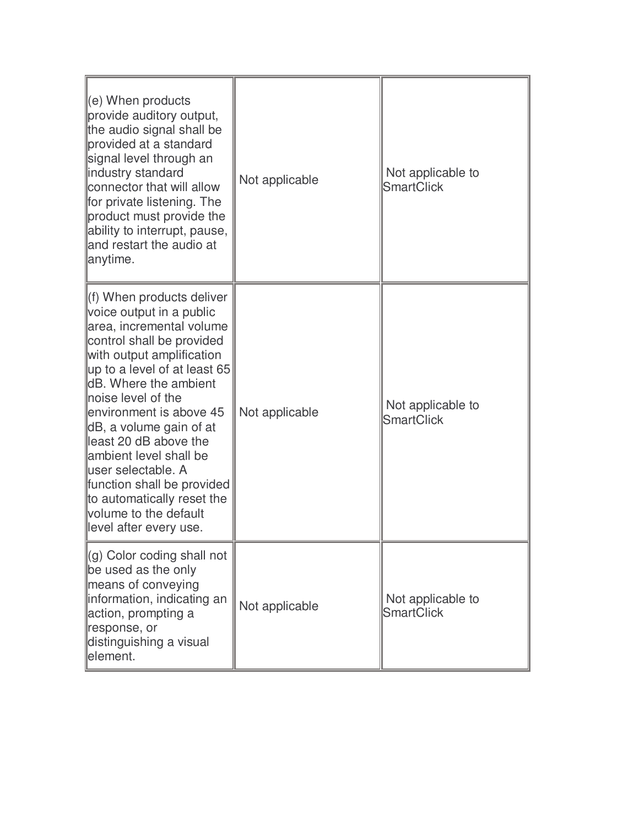| $\parallel$ (e) When products<br>provide auditory output,<br>the audio signal shall be<br>provided at a standard<br>signal level through an<br>lindustry standard<br>connector that will allow<br>for private listening. The<br>product must provide the<br>ability to interrupt, pause,<br>and restart the audio at<br>anytime.                                                                                                                                                         | Not applicable | Not applicable to<br><b>SmartClick</b> |
|------------------------------------------------------------------------------------------------------------------------------------------------------------------------------------------------------------------------------------------------------------------------------------------------------------------------------------------------------------------------------------------------------------------------------------------------------------------------------------------|----------------|----------------------------------------|
| f) When products deliver<br>voice output in a public<br>area, incremental volume<br>control shall be provided<br>with output amplification<br>$\mu$ p to a level of at least 65<br><b>IdB.</b> Where the ambient<br>lnoise level of the<br>environment is above 45<br>dB, a volume gain of at<br>least 20 dB above the<br>llambient level shall be<br>luser selectable. A<br>function shall be provided<br>to automatically reset the<br>volume to the default<br>level after every use. | Not applicable | Not applicable to<br><b>SmartClick</b> |
| (g) Color coding shall not<br>be used as the only<br>means of conveying<br>linformation, indicating an<br>action, prompting a<br>response, or<br>distinguishing a visual<br>element.                                                                                                                                                                                                                                                                                                     | Not applicable | Not applicable to<br><b>SmartClick</b> |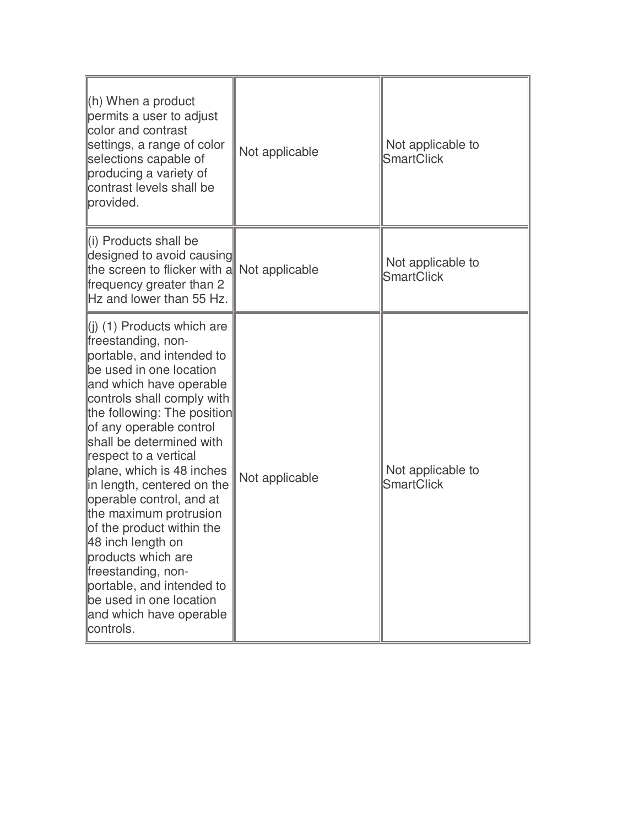| $(h)$ When a product<br>permits a user to adjust<br>color and contrast<br>settings, a range of color<br>selections capable of<br>producing a variety of<br>contrast levels shall be<br>provided.                                                                                                                                                                                                                                                                                                                                                                                                             | Not applicable | Not applicable to<br><b>SmartClick</b> |
|--------------------------------------------------------------------------------------------------------------------------------------------------------------------------------------------------------------------------------------------------------------------------------------------------------------------------------------------------------------------------------------------------------------------------------------------------------------------------------------------------------------------------------------------------------------------------------------------------------------|----------------|----------------------------------------|
| li) Products shall be<br>designed to avoid causing<br>the screen to flicker with a<br>frequency greater than 2<br>Hz and lower than 55 Hz.                                                                                                                                                                                                                                                                                                                                                                                                                                                                   | Not applicable | Not applicable to<br><b>SmartClick</b> |
| $\left  \right $ (1) Products which are<br>freestanding, non-<br>portable, and intended to<br>be used in one location<br>and which have operable<br>controls shall comply with<br>the following: The position<br>of any operable control<br>shall be determined with<br>respect to a vertical<br>plane, which is 48 inches<br>in length, centered on the<br>operable control, and at<br>the maximum protrusion<br>of the product within the<br>48 inch length on<br>products which are<br>freestanding, non-<br>portable, and intended to<br>be used in one location<br>and which have operable<br>controls. | Not applicable | Not applicable to<br><b>SmartClick</b> |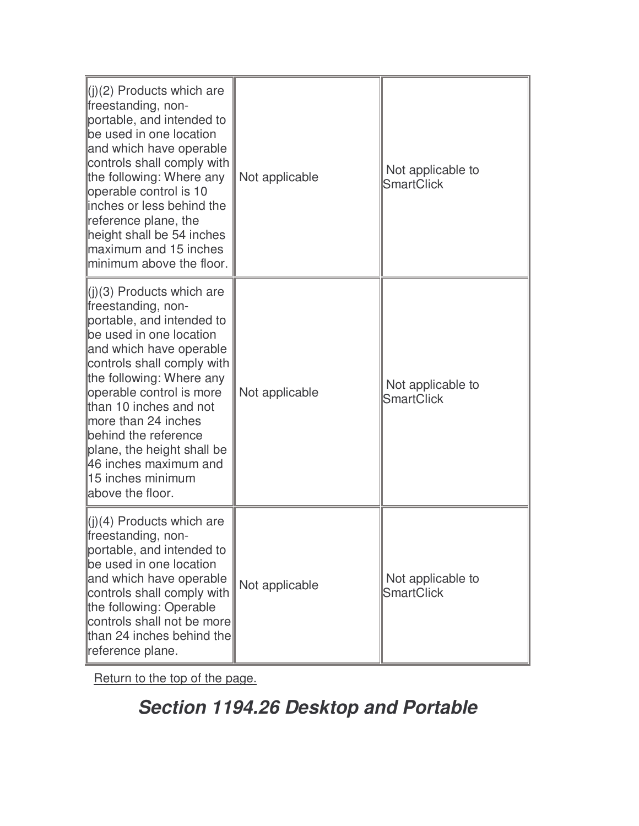| $\parallel$ (j)(2) Products which are<br>freestanding, non-<br>portable, and intended to<br>be used in one location<br>and which have operable<br>controls shall comply with<br>the following: Where any<br>operable control is 10<br>linches or less behind the<br>reference plane, the<br>height shall be 54 inches<br>maximum and 15 inches<br>minimum above the floor.                                      | Not applicable | Not applicable to<br><b>SmartClick</b> |
|-----------------------------------------------------------------------------------------------------------------------------------------------------------------------------------------------------------------------------------------------------------------------------------------------------------------------------------------------------------------------------------------------------------------|----------------|----------------------------------------|
| $\ $ (j)(3) Products which are<br>freestanding, non-<br>portable, and intended to<br>be used in one location<br>and which have operable<br>controls shall comply with<br>the following: Where any<br>operable control is more<br>than 10 inches and not<br>more than 24 inches<br>behind the reference<br>plane, the height shall be<br>46 inches maximum and<br><u>ll15 inches minimum</u><br>above the floor. | Not applicable | Not applicable to<br><b>SmartClick</b> |
| $\ $ (j)(4) Products which are<br>freestanding, non-<br>portable, and intended to<br>be used in one location<br>and which have operable<br>controls shall comply with<br>the following: Operable<br>controls shall not be more<br>than 24 inches behind the<br>reference plane.                                                                                                                                 | Not applicable | Not applicable to<br><b>SmartClick</b> |

# **Section 1194.26 Desktop and Portable**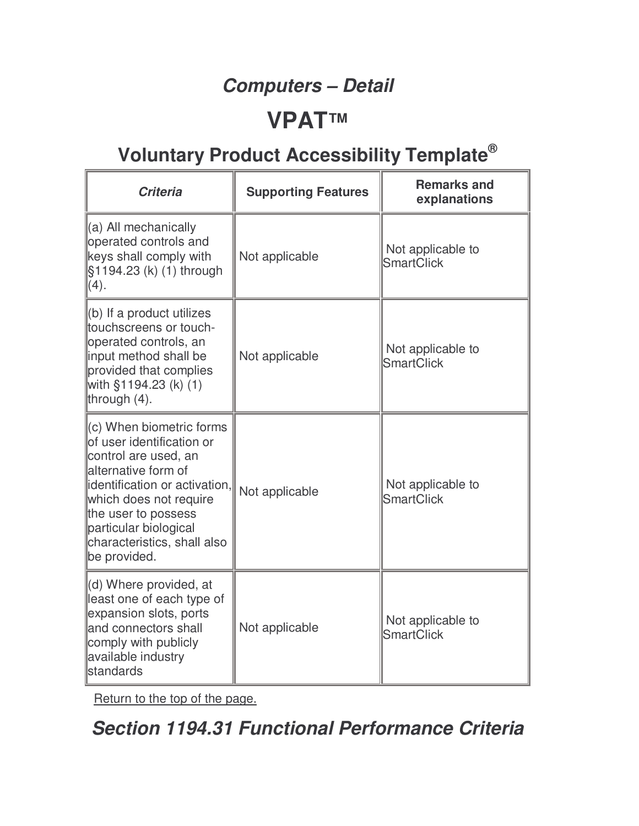### **Computers – Detail**

### **VPAT™**

# **Voluntary Product Accessibility Template®**

| <b>Criteria</b>                                                                                                                                                                                                                                                  | <b>Supporting Features</b> | <b>Remarks and</b><br>explanations     |
|------------------------------------------------------------------------------------------------------------------------------------------------------------------------------------------------------------------------------------------------------------------|----------------------------|----------------------------------------|
| (a) All mechanically<br>operated controls and<br>keys shall comply with<br>§1194.23 (k) (1) through<br>(4).                                                                                                                                                      | Not applicable             | Not applicable to<br><b>SmartClick</b> |
| (b) If a product utilizes<br>touchscreens or touch-<br>operated controls, an<br>input method shall be<br>provided that complies<br>with §1194.23 (k) (1)<br>through $(4)$ .                                                                                      | Not applicable             | Not applicable to<br><b>SmartClick</b> |
| $(c)$ When biometric forms<br>of user identification or<br>control are used, an<br>alternative form of<br>identification or activation,<br>which does not require<br>the user to possess<br>particular biological<br>characteristics, shall also<br>be provided. | Not applicable             | Not applicable to<br><b>SmartClick</b> |
| (d) Where provided, at<br>least one of each type of<br>expansion slots, ports<br>and connectors shall<br>comply with publicly<br>available industry<br>standards                                                                                                 | Not applicable             | Not applicable to<br><b>SmartClick</b> |

Return to the top of the page.

### **Section 1194.31 Functional Performance Criteria**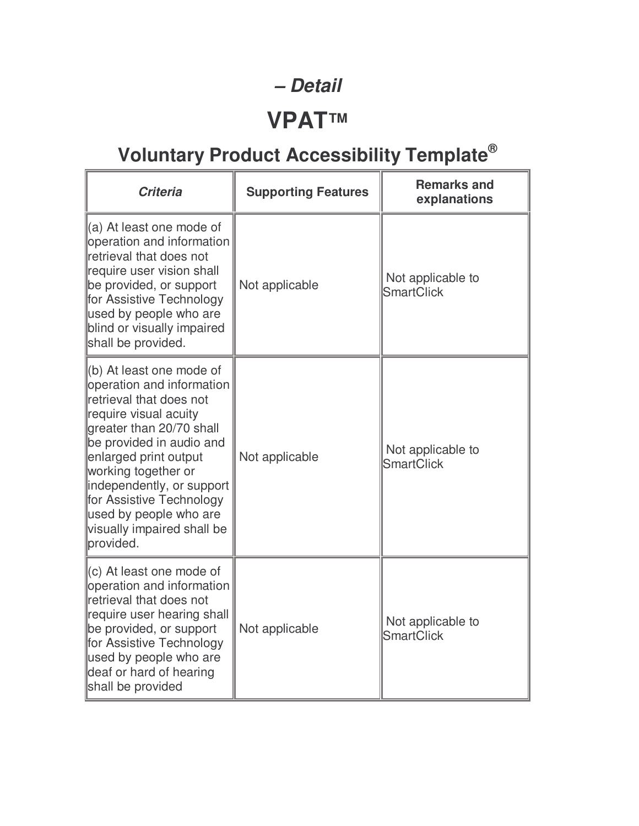#### **– Detail**

# **VPAT™**

| <b>Criteria</b>                                                                                                                                                                                                                                                                                                                                      | <b>Supporting Features</b> | <b>Remarks and</b><br>explanations     |
|------------------------------------------------------------------------------------------------------------------------------------------------------------------------------------------------------------------------------------------------------------------------------------------------------------------------------------------------------|----------------------------|----------------------------------------|
| (a) At least one mode of<br>operation and information<br>retrieval that does not<br>require user vision shall<br>be provided, or support<br>for Assistive Technology<br>used by people who are<br>blind or visually impaired<br>shall be provided.                                                                                                   | Not applicable             | Not applicable to<br><b>SmartClick</b> |
| $\ $ (b) At least one mode of<br>operation and information<br>retrieval that does not<br>require visual acuity<br>greater than 20/70 shall<br>be provided in audio and<br>enlarged print output<br>working together or<br>independently, or support<br>for Assistive Technology<br>used by people who are<br>visually impaired shall be<br>provided. | Not applicable             | Not applicable to<br><b>SmartClick</b> |
| $\parallel$ (c) At least one mode of<br>operation and information<br>retrieval that does not<br>require user hearing shall<br>be provided, or support<br>for Assistive Technology<br>used by people who are<br>deaf or hard of hearing<br>shall be provided                                                                                          | Not applicable             | Not applicable to<br><b>SmartClick</b> |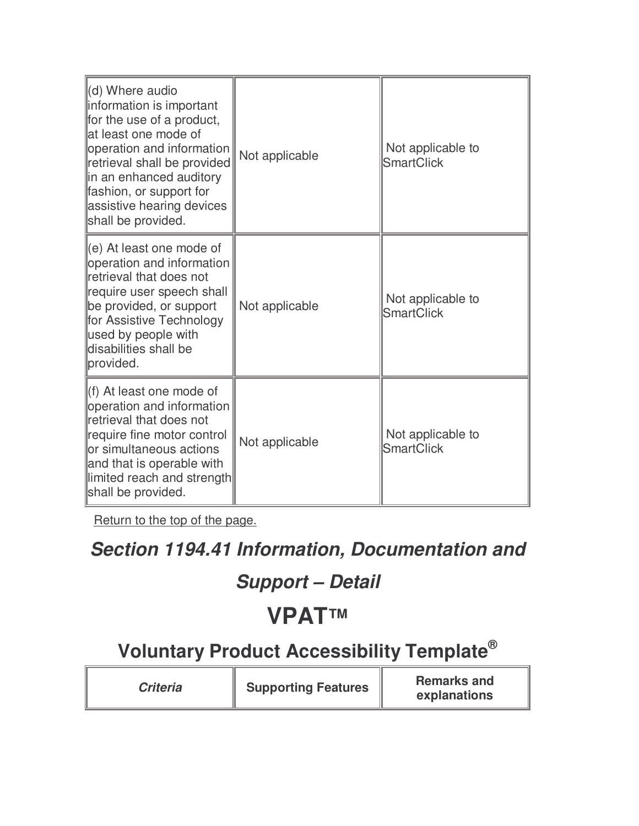| (d) Where audio<br>information is important<br>for the use of a product,<br>lat least one mode of<br>operation and information<br>retrieval shall be provided<br>lin an enhanced auditory<br>fashion, or support for<br>assistive hearing devices<br>shall be provided. | Not applicable | Not applicable to<br><b>SmartClick</b> |
|-------------------------------------------------------------------------------------------------------------------------------------------------------------------------------------------------------------------------------------------------------------------------|----------------|----------------------------------------|
| $\parallel$ (e) At least one mode of<br>operation and information<br>retrieval that does not<br>require user speech shall<br>be provided, or support<br>for Assistive Technology<br>used by people with<br>disabilities shall be<br>provided.                           | Not applicable | Not applicable to<br><b>SmartClick</b> |
| ll(f) At least one mode of<br>operation and information<br>retrieval that does not<br>require fine motor control<br>or simultaneous actions<br>and that is operable with<br>limited reach and strength<br>shall be provided.                                            | Not applicable | Not applicable to<br><b>SmartClick</b> |

### **Section 1194.41 Information, Documentation and**

### **Support – Detail**

# **VPAT™**

| <b>Criteria</b> | <b>Supporting Features</b> | <b>Remarks and</b><br>explanations |
|-----------------|----------------------------|------------------------------------|
|-----------------|----------------------------|------------------------------------|